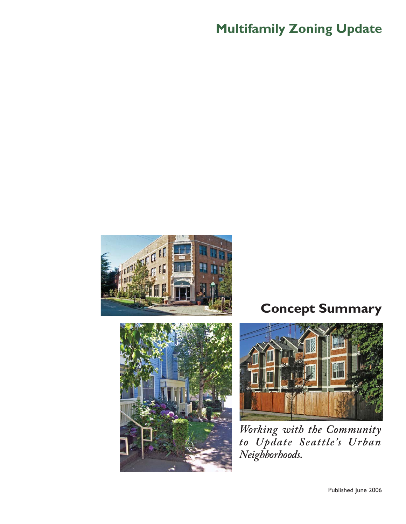# **Multifamily Zoning Update**





# **Concept Summary**



*Working with the Community to Update Seattle's Urban Neighborhoods.* 

Published June 2006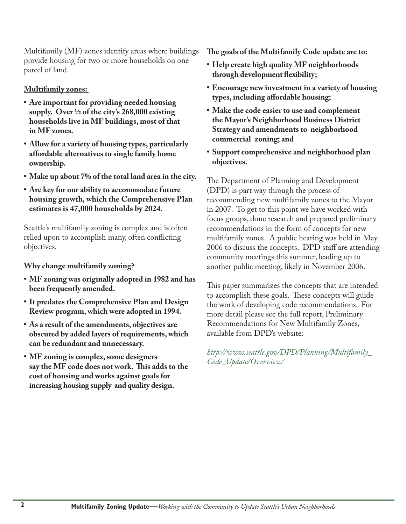Multifamily (MF) zones identify areas where buildings provide housing for two or more households on one parcel of land.

### **Multifamily zones:**

- **Are important for providing needed housing supply. Over ½ of the city's 268,000 existing households live in MF buildings, most of that in MF zones.**
- **Allow for a variety of housing types, particularly aff ordable alternatives to single family home ownership.**
- **Make up about 7% of the total land area in the city.**
- **Are key for our ability to accommodate future housing growth, which the Comprehensive Plan estimates is 47,000 households by 2024.**

Seattle's multifamily zoning is complex and is often relied upon to accomplish many, often conflicting objectives.

#### **Why change multifamily zoning?**

- **MF zoning was originally adopted in 1982 and has been frequently amended.**
- **It predates the Comprehensive Plan and Design Review program, which were adopted in 1994.**
- **As a result of the amendments, objectives are obscured by added layers of requirements, which can be redundant and unnecessary.**
- **MF zoning is complex, some designers**  say the MF code does not work. This adds to the  **cost of housing and works against goals for increasing housing supply and quality design.**

The goals of the Multifamily Code update are to:

- **Help create high quality MF neighborhoods through development flexibility;**
- **Encourage new investment in a variety of housing types, including aff ordable housing;**
- **Make the code easier to use and complement the Mayor's Neighborhood Business District Strategy and amendments to neighborhood commercial zoning; and**
- **Support comprehensive and neighborhood plan objectives.**

The Department of Planning and Development (DPD) is part way through the process of recommending new multifamily zones to the Mayor in 2007. To get to this point we have worked with focus groups, done research and prepared preliminary recommendations in the form of concepts for new multifamily zones. A public hearing was held in May 2006 to discuss the concepts. DPD staff are attending community meetings this summer, leading up to another public meeting, likely in November 2006.

This paper summarizes the concepts that are intended to accomplish these goals. These concepts will guide the work of developing code recommendations. For more detail please see the full report, Preliminary Recommendations for New Multifamily Zones, available from DPD's website:

*http://www.seattle.gov/DPD/Planning/Multifamily\_ Code\_Update/Overview/*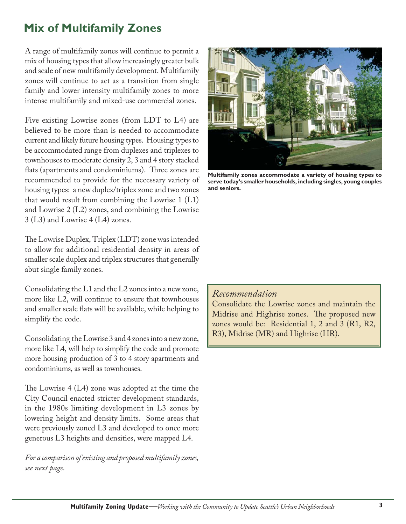# **Mix of Multifamily Zones**

A range of multifamily zones will continue to permit a mix of housing types that allow increasingly greater bulk and scale of new multifamily development. Multifamily zones will continue to act as a transition from single family and lower intensity multifamily zones to more intense multifamily and mixed-use commercial zones.

Five existing Lowrise zones (from LDT to L4) are believed to be more than is needed to accommodate current and likely future housing types. Housing types to be accommodated range from duplexes and triplexes to townhouses to moderate density 2, 3 and 4 story stacked flats (apartments and condominiums). Three zones are recommended to provide for the necessary variety of housing types: a new duplex/triplex zone and two zones that would result from combining the Lowrise 1 (L1) and Lowrise 2 (L2) zones, and combining the Lowrise 3 (L3) and Lowrise 4 (L4) zones.

The Lowrise Duplex, Triplex (LDT) zone was intended to allow for additional residential density in areas of smaller scale duplex and triplex structures that generally abut single family zones.

Consolidating the L1 and the L2 zones into a new zone, more like L2, will continue to ensure that townhouses and smaller scale flats will be available, while helping to simplify the code.

Consolidating the Lowrise 3 and 4 zones into a new zone, more like L4, will help to simplify the code and promote more housing production of 3 to 4 story apartments and condominiums, as well as townhouses.

The Lowrise  $4(L4)$  zone was adopted at the time the City Council enacted stricter development standards, in the 1980s limiting development in L3 zones by lowering height and density limits. Some areas that were previously zoned L3 and developed to once more generous L3 heights and densities, were mapped L4.

*For a comparison of existing and proposed multifamily zones, see next page.*



**Multifamily zones accommodate a variety of housing types to serve today's smaller households, including singles, young couples and seniors.**

#### *Recommendation*

Consolidate the Lowrise zones and maintain the Midrise and Highrise zones. The proposed new zones would be: Residential 1, 2 and 3 (R1, R2, R3), Midrise (MR) and Highrise (HR).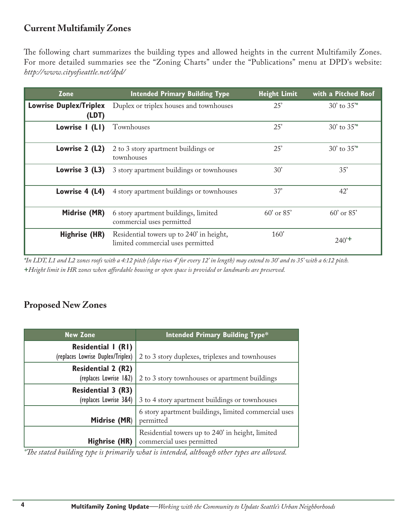### **Current Multifamily Zones**

The following chart summarizes the building types and allowed heights in the current Multifamily Zones. For more detailed summaries see the "Zoning Charts" under the "Publications" menu at DPD's website: *http://www.cityofseattle.net/dpd/*

| Zone                                   | <b>Intended Primary Building Type</b>                                         | <b>Height Limit</b> | with a Pitched Roof |
|----------------------------------------|-------------------------------------------------------------------------------|---------------------|---------------------|
| <b>Lowrise Duplex/Triplex</b><br>(LDT) | Duplex or triplex houses and townhouses                                       | 25'                 | $30'$ to $35''$     |
| Lowrise I (LI)                         | Townhouses                                                                    | 25'                 | $30'$ to $35''$     |
| Lowrise 2 (L2)                         | 2 to 3 story apartment buildings or<br>townhouses                             | 25'                 | $30'$ to $35''$     |
| Lowrise 3 (L3)                         | 3 story apartment buildings or townhouses                                     | 30'                 | 35'                 |
| Lowrise 4 (L4)                         | 4 story apartment buildings or townhouses                                     | 37'                 | 42'                 |
| Midrise (MR)                           | 6 story apartment buildings, limited<br>commercial uses permitted             | 60' or 85'          | $60'$ or $85'$      |
| <b>Highrise (HR)</b>                   | Residential towers up to 240' in height,<br>limited commercial uses permitted | 160'                | $240^{+}$           |

*\*In LDT, L1 and L2 zones roofs with a 4:12 pitch (slope rises 4' for every 12' in length) may extend to 30' and to 35' with a 6:12 pitch. +Height limit in HR zones when aff ordable housing or open space is provided or landmarks are preserved.*

### **Proposed New Zones**

| <b>New Zone</b>                   | <b>Intended Primary Building Type*</b>                                        |  |
|-----------------------------------|-------------------------------------------------------------------------------|--|
| Residential I (RI)                |                                                                               |  |
| (replaces Lowrise Duplex/Triplex) | 2 to 3 story duplexes, triplexes and townhouses                               |  |
| <b>Residential 2 (R2)</b>         |                                                                               |  |
| (replaces Lowrise 1&2)            | 2 to 3 story townhouses or apartment buildings                                |  |
| <b>Residential 3 (R3)</b>         |                                                                               |  |
| (replaces Lowrise 3&4)            | 3 to 4 story apartment buildings or townhouses                                |  |
| Midrise (MR)                      | 6 story apartment buildings, limited commercial uses<br>permitted             |  |
| Highrise (HR)                     | Residential towers up to 240' in height, limited<br>commercial uses permitted |  |

*\*The stated building type is primarily what is intended, although other types are allowed.*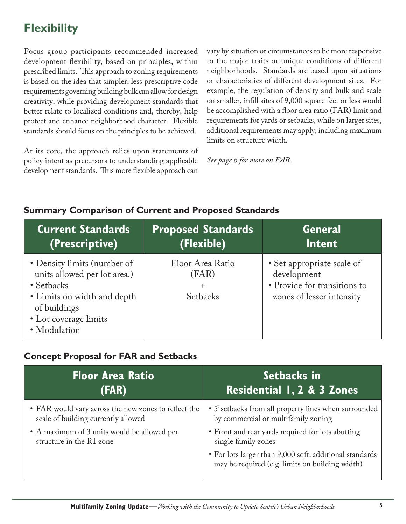# **Flexibility**

Focus group participants recommended increased development flexibility, based on principles, within prescribed limits. This approach to zoning requirements is based on the idea that simpler, less prescriptive code requirements governing building bulk can allow for design creativity, while providing development standards that better relate to localized conditions and, thereby, help protect and enhance neighborhood character. Flexible standards should focus on the principles to be achieved.

At its core, the approach relies upon statements of policy intent as precursors to understanding applicable development standards. This more flexible approach can

vary by situation or circumstances to be more responsive to the major traits or unique conditions of different neighborhoods. Standards are based upon situations or characteristics of different development sites. For example, the regulation of density and bulk and scale on smaller, infill sites of 9,000 square feet or less would be accomplished with a floor area ratio (FAR) limit and requirements for yards or setbacks, while on larger sites, additional requirements may apply, including maximum limits on structure width.

*See page 6 for more on FAR.*

### **Summary Comparison of Current and Proposed Standards**

| <b>Current Standards</b>                                                                                                                                          | <b>Proposed Standards</b>                                 | <b>General</b>                                                                                         |
|-------------------------------------------------------------------------------------------------------------------------------------------------------------------|-----------------------------------------------------------|--------------------------------------------------------------------------------------------------------|
| (Prescriptive)                                                                                                                                                    | (Flexible)                                                | Intent                                                                                                 |
| • Density limits (number of<br>units allowed per lot area.)<br>• Setbacks<br>• Limits on width and depth<br>of buildings<br>• Lot coverage limits<br>· Modulation | Floor Area Ratio<br>(FAR)<br>$\ddot{}$<br><b>Setbacks</b> | • Set appropriate scale of<br>development<br>• Provide for transitions to<br>zones of lesser intensity |

### **Concept Proposal for FAR and Setbacks**

| <b>Floor Area Ratio</b>                              | Setbacks in                                                                                                |
|------------------------------------------------------|------------------------------------------------------------------------------------------------------------|
| (FAR)                                                | <b>Residential 1, 2 &amp; 3 Zones</b>                                                                      |
| • FAR would vary across the new zones to reflect the | • 5' setbacks from all property lines when surrounded                                                      |
| scale of building currently allowed                  | by commercial or multifamily zoning                                                                        |
| • A maximum of 3 units would be allowed per          | • Front and rear yards required for lots abutting                                                          |
| structure in the R1 zone                             | single family zones                                                                                        |
|                                                      | • For lots larger than 9,000 sqft. additional standards<br>may be required (e.g. limits on building width) |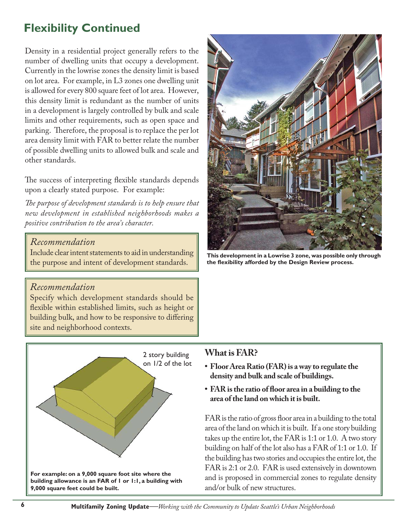# **Flexibility Continued**

Density in a residential project generally refers to the number of dwelling units that occupy a development. Currently in the lowrise zones the density limit is based on lot area. For example, in L3 zones one dwelling unit is allowed for every 800 square feet of lot area. However, this density limit is redundant as the number of units in a development is largely controlled by bulk and scale limits and other requirements, such as open space and parking. Therefore, the proposal is to replace the per lot area density limit with FAR to better relate the number of possible dwelling units to allowed bulk and scale and other standards.

The success of interpreting flexible standards depends upon a clearly stated purpose. For example:

The purpose of development standards is to help ensure that *new development in established neighborhoods makes a positive contribution to the area's character.*

#### *Recommendation*

Include clear intent statements to aid in understanding the purpose and intent of development standards.

### *Recommendation*

Specify which development standards should be flexible within established limits, such as height or building bulk, and how to be responsive to differing site and neighborhood contexts.





**This development in a Lowrise 3 zone, was possible only through**  the flexibility afforded by the Design Review process.

#### **What is FAR?**

- **Floor Area Ratio (FAR) is a way to regulate the density and bulk and scale of buildings.**
- FAR is the ratio of floor area in a building to the  **area of the land on which it is built.**

FAR is the ratio of gross floor area in a building to the total area of the land on which it is built. If a one story building takes up the entire lot, the FAR is 1:1 or 1.0. A two story building on half of the lot also has a FAR of 1:1 or 1.0. If the building has two stories and occupies the entire lot, the FAR is 2:1 or 2.0. FAR is used extensively in downtown and is proposed in commercial zones to regulate density and/or bulk of new structures.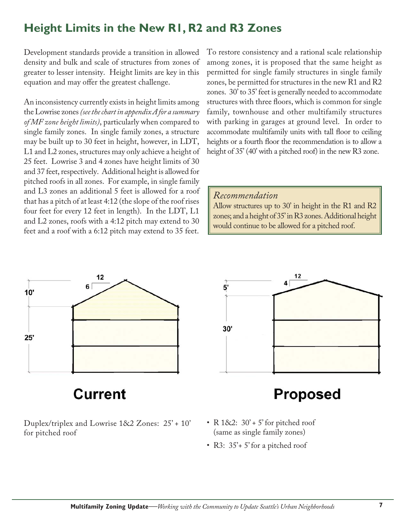# **Height Limits in the New R1, R2 and R3 Zones**

Development standards provide a transition in allowed density and bulk and scale of structures from zones of greater to lesser intensity. Height limits are key in this equation and may offer the greatest challenge.

An inconsistency currently exists in height limits among the Lowrise zones *(see the chart in appendix A for a summary of MF zone height limits)*, particularly when compared to single family zones. In single family zones, a structure may be built up to 30 feet in height, however, in LDT, L1 and L2 zones, structures may only achieve a height of 25 feet. Lowrise 3 and 4 zones have height limits of 30 and 37 feet, respectively. Additional height is allowed for pitched roofs in all zones. For example, in single family and L3 zones an additional 5 feet is allowed for a roof that has a pitch of at least 4:12 (the slope of the roof rises four feet for every 12 feet in length). In the LDT, L1 and L2 zones, roofs with a 4:12 pitch may extend to 30 feet and a roof with a 6:12 pitch may extend to 35 feet.

To restore consistency and a rational scale relationship among zones, it is proposed that the same height as permitted for single family structures in single family zones, be permitted for structures in the new R1 and R2 zones. 30' to 35' feet is generally needed to accommodate structures with three floors, which is common for single family, townhouse and other multifamily structures with parking in garages at ground level. In order to accommodate multifamily units with tall floor to ceiling heights or a fourth floor the recommendation is to allow a height of 35' (40' with a pitched roof) in the new R3 zone.

#### *Recommendation*

Allow structures up to 30' in height in the R1 and R2 zones; and a height of 35' in R3 zones. Additional height would continue to be allowed for a pitched roof.



Duplex/triplex and Lowrise 1&2 Zones: 25' + 10' for pitched roof



# **Proposed**

- R  $182: 30' + 5'$  for pitched roof (same as single family zones)
- R3: 35'+ 5' for a pitched roof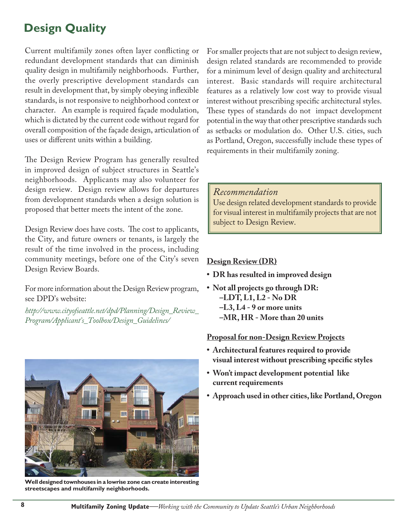# **Design Quality**

Current multifamily zones often layer conflicting or redundant development standards that can diminish quality design in multifamily neighborhoods. Further, the overly prescriptive development standards can result in development that, by simply obeying inflexible standards, is not responsive to neighborhood context or character. An example is required façade modulation, which is dictated by the current code without regard for overall composition of the façade design, articulation of uses or different units within a building.

The Design Review Program has generally resulted in improved design of subject structures in Seattle's neighborhoods. Applicants may also volunteer for design review. Design review allows for departures from development standards when a design solution is proposed that better meets the intent of the zone.

Design Review does have costs. The cost to applicants, the City, and future owners or tenants, is largely the result of the time involved in the process, including community meetings, before one of the City's seven Design Review Boards.

For more information about the Design Review program, see DPD's website:

*http://www.cityofseattle.net/dpd/Planning/Design\_Review\_ Program/Applicant's\_Toolbox/Design\_Guidelines/*



**Well designed townhouses in a lowrise zone can create interesting streetscapes and multifamily neighborhoods.**

For smaller projects that are not subject to design review, design related standards are recommended to provide for a minimum level of design quality and architectural interest. Basic standards will require architectural features as a relatively low cost way to provide visual interest without prescribing specific architectural styles. These types of standards do not impact development potential in the way that other prescriptive standards such as setbacks or modulation do. Other U.S. cities, such as Portland, Oregon, successfully include these types of requirements in their multifamily zoning.

#### *Recommendation*

Use design related development standards to provide for visual interest in multifamily projects that are not subject to Design Review.

#### **Design Review (DR)**

- **DR has resulted in improved design**
- **Not all projects go through DR: –LDT, L1, L2 - No DR –L3, L4 - 9 or more units –MR, HR - More than 20 units**

#### **Proposal for non-Design Review Projects**

- **Architectural features required to provide visual interest without prescribing specific styles**
- **Won't impact development potential like current requirements**
- **Approach used in other cities, like Portland, Oregon**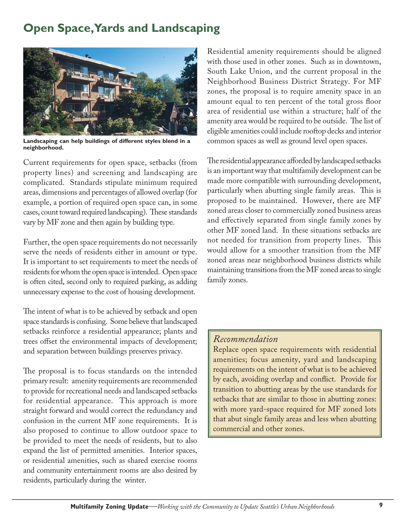# **Open Space, Yards and Landscaping**



**Landscaping can help buildings of different styles blend in a neighborhood.** 

Current requirements for open space, setbacks (from property lines) and screening and landscaping are complicated. Standards stipulate minimum required areas, dimensions and percentages of allowed overlap (for example, a portion of required open space can, in some cases, count toward required landscaping). These standards vary by MF zone and then again by building type.

Further, the open space requirements do not necessarily serve the needs of residents either in amount or type. It is important to set requirements to meet the needs of residents for whom the open space is intended. Open space is often cited, second only to required parking, as adding unnecessary expense to the cost of housing development.

The intent of what is to be achieved by setback and open space standards is confusing. Some believe that landscaped setbacks reinforce a residential appearance; plants and trees offset the environmental impacts of development; and separation between buildings preserves privacy.

The proposal is to focus standards on the intended primary result: amenity requirements are recommended to provide for recreational needs and landscaped setbacks for residential appearance. This approach is more straight forward and would correct the redundancy and confusion in the current MF zone requirements. It is also proposed to continue to allow outdoor space to be provided to meet the needs of residents, but to also expand the list of permitted amenities. Interior spaces, or residential amenities, such as shared exercise rooms and community entertainment rooms are also desired by residents, particularly during the winter.

Residential amenity requirements should be aligned with those used in other zones. Such as in downtown, South Lake Union, and the current proposal in the Neighborhood Business District Strategy. For MF zones, the proposal is to require amenity space in an amount equal to ten percent of the total gross floor area of residential use within a structure; half of the amenity area would be required to be outside. The list of eligible amenities could include rooftop decks and interior common spaces as well as ground level open spaces.

The residential appearance afforded by landscaped setbacks is an important way that multifamily development can be made more compatible with surrounding development, particularly when abutting single family areas. This is proposed to be maintained. However, there are MF zoned areas closer to commercially zoned business areas and effectively separated from single family zones by other MF zoned land. In these situations setbacks are not needed for transition from property lines. This would allow for a smoother transition from the MF zoned areas near neighborhood business districts while maintaining transitions from the MF zoned areas to single family zones.

### *Recommendation*

Replace open space requirements with residential amenities; focus amenity, yard and landscaping requirements on the intent of what is to be achieved by each, avoiding overlap and conflict. Provide for transition to abutting areas by the use standards for setbacks that are similar to those in abutting zones: with more yard-space required for MF zoned lots that abut single family areas and less when abutting commercial and other zones.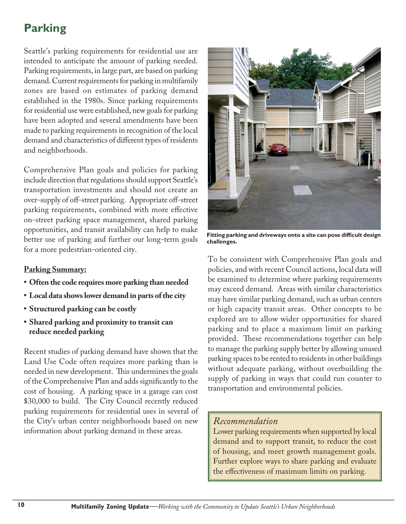# **Parking**

Seattle's parking requirements for residential use are intended to anticipate the amount of parking needed. Parking requirements, in large part, are based on parking demand. Current requirements for parking in multifamily zones are based on estimates of parking demand established in the 1980s. Since parking requirements for residential use were established, new goals for parking have been adopted and several amendments have been made to parking requirements in recognition of the local demand and characteristics of different types of residents and neighborhoods.

Comprehensive Plan goals and policies for parking include direction that regulations should support Seattle's transportation investments and should not create an over-supply of off -street parking. Appropriate off -street parking requirements, combined with more effective on-street parking space management, shared parking opportunities, and transit availability can help to make better use of parking and further our long-term goals for a more pedestrian-oriented city.

### **Parking Summary:**

- **Often the code requires more parking than needed**
- **Local data shows lower demand in parts of the city**
- **Structured parking can be costly**
- **Shared parking and proximity to transit can reduce needed parking**

Recent studies of parking demand have shown that the Land Use Code often requires more parking than is needed in new development. This undermines the goals of the Comprehensive Plan and adds significantly to the cost of housing. A parking space in a garage can cost \$30,000 to build. The City Council recently reduced parking requirements for residential uses in several of the City's urban center neighborhoods based on new information about parking demand in these areas.



Fitting parking and driveways onto a site can pose difficult design **challenges.**

To be consistent with Comprehensive Plan goals and policies, and with recent Council actions, local data will be examined to determine where parking requirements may exceed demand. Areas with similar characteristics may have similar parking demand, such as urban centers or high capacity transit areas. Other concepts to be explored are to allow wider opportunities for shared parking and to place a maximum limit on parking provided. These recommendations together can help to manage the parking supply better by allowing unused parking spaces to be rented to residents in other buildings without adequate parking, without overbuilding the supply of parking in ways that could run counter to transportation and environmental policies.

### *Recommendation*

Lower parking requirements when supported by local demand and to support transit, to reduce the cost of housing, and meet growth management goals. Further explore ways to share parking and evaluate the effectiveness of maximum limits on parking.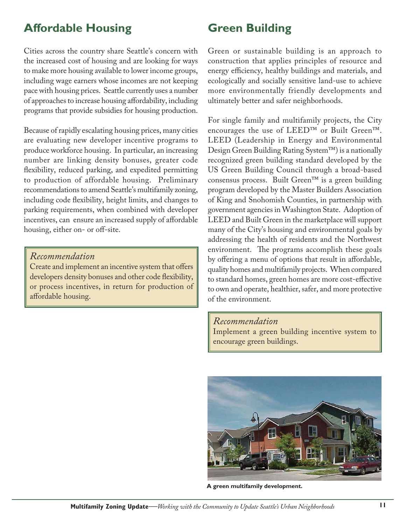### **Affordable Housing Green Building**

Cities across the country share Seattle's concern with the increased cost of housing and are looking for ways to make more housing available to lower income groups, including wage earners whose incomes are not keeping pace with housing prices. Seattle currently uses a number of approaches to increase housing affordability, including programs that provide subsidies for housing production.

Because of rapidly escalating housing prices, many cities are evaluating new developer incentive programs to produce workforce housing. In particular, an increasing number are linking density bonuses, greater code flexibility, reduced parking, and expedited permitting to production of affordable housing. Preliminary recommendations to amend Seattle's multifamily zoning, including code flexibility, height limits, and changes to parking requirements, when combined with developer incentives, can ensure an increased supply of affordable housing, either on- or off-site.

*Recommendation* 

Create and implement an incentive system that offers developers density bonuses and other code flexibility, or process incentives, in return for production of affordable housing.

Green or sustainable building is an approach to construction that applies principles of resource and energy efficiency, healthy buildings and materials, and ecologically and socially sensitive land-use to achieve more environmentally friendly developments and ultimately better and safer neighborhoods.

For single family and multifamily projects, the City encourages the use of LEED™ or Built Green™. LEED (Leadership in Energy and Environmental Design Green Building Rating System™) is a nationally recognized green building standard developed by the US Green Building Council through a broad-based consensus process. Built Green™ is a green building program developed by the Master Builders Association of King and Snohomish Counties, in partnership with government agencies in Washington State. Adoption of LEED and Built Green in the marketplace will support many of the City's housing and environmental goals by addressing the health of residents and the Northwest environment. The programs accomplish these goals by offering a menu of options that result in affordable, quality homes and multifamily projects. When compared to standard homes, green homes are more cost-effective to own and operate, healthier, safer, and more protective of the environment.

#### *Recommendation*

Implement a green building incentive system to encourage green buildings.



**A green multifamily development.**